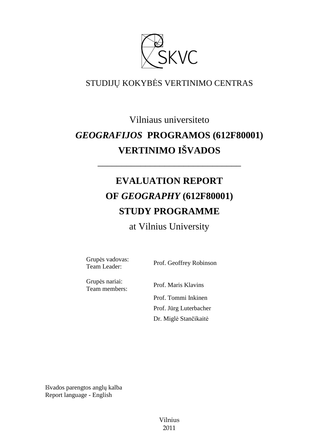

### STUDIJŲ KOKYBĖS VERTINIMO CENTRAS

## Vilniaus universiteto *GEOGRAFIJOS* **PROGRAMOS (612F80001) VERTINIMO IŠVADOS**

# **EVALUATION REPORT OF** *GEOGRAPHY* **(612F80001) STUDY PROGRAMME**

––––––––––––––––––––––––––––––

## at Vilnius University

Grupės vadovas:<br>Team Leader:

Prof. Geoffrey Robinson

Grupės nariai:

Team members: Prof. Maris Klavins Prof. Tommi Inkinen Prof. Jürg Luterbacher Dr. Miglė Stančikaitė

Išvados parengtos anglų kalba Report language - English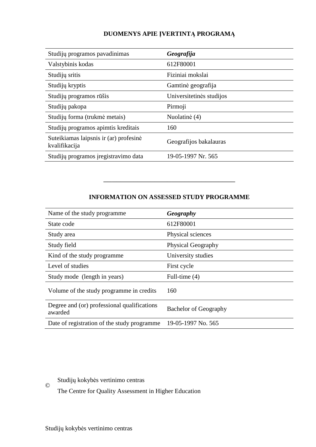#### **DUOMENYS APIE ĮVERTINTĄ PROGRAMĄ**

| Studijų programos pavadinimas                           | Geografija               |
|---------------------------------------------------------|--------------------------|
| Valstybinis kodas                                       | 612F80001                |
| Studijų sritis                                          | Fiziniai mokslai         |
| Studijų kryptis                                         | Gamtinė geografija       |
| Studijų programos rūšis                                 | Universitetinės studijos |
| Studijų pakopa                                          | Pirmoji                  |
| Studijų forma (trukmė metais)                           | Nuolatinė (4)            |
| Studijų programos apimtis kreditais                     | 160                      |
| Suteikiamas laipsnis ir (ar) profesinė<br>kvalifikacija | Geografijos bakalauras   |
| Studijų programos į registravimo data                   | 19-05-1997 Nr. 565       |

#### **INFORMATION ON ASSESSED STUDY PROGRAMME**

–––––––––––––––––––––––––––––––

| Name of the study programme.                           | Geography                    |
|--------------------------------------------------------|------------------------------|
| State code                                             | 612F80001                    |
| Study area                                             | Physical sciences            |
| Study field                                            | <b>Physical Geography</b>    |
| Kind of the study programme                            | University studies           |
| Level of studies                                       | First cycle                  |
| Study mode (length in years)                           | Full-time $(4)$              |
| Volume of the study programme in credits               | 160                          |
| Degree and (or) professional qualifications<br>awarded | <b>Bachelor of Geography</b> |
| Date of registration of the study programme            | 19-05-1997 No. 565           |

Studijų kokybės vertinimo centras

The Centre for Quality Assessment in Higher Education

©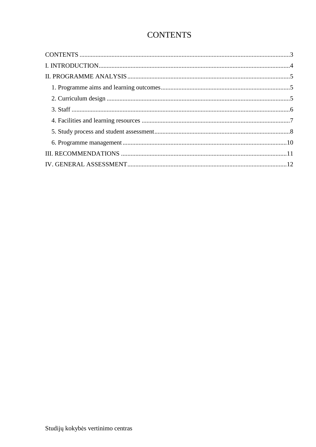## **CONTENTS**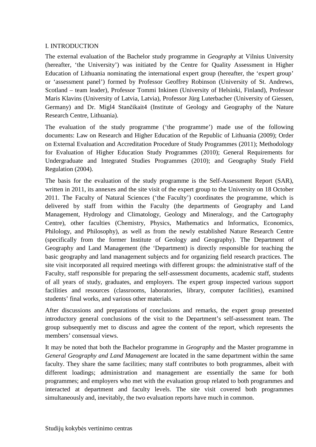#### I. INTRODUCTION

The external evaluation of the Bachelor study programme in *Geography* at Vilnius University (hereafter, 'the University') was initiated by the Centre for Quality Assessment in Higher Education of Lithuania nominating the international expert group (hereafter, the 'expert group' or 'assessment panel') formed by Professor Geoffrey Robinson (University of St. Andrews, Scotland – team leader), Professor Tommi Inkinen (University of Helsinki, Finland), Professor Maris Klavins (University of Latvia, Latvia), Professor Jürg Luterbacher (University of Giessen, Germany) and Dr. Migl4 Stančikait4 (Institute of Geology and Geography of the Nature Research Centre, Lithuania).

The evaluation of the study programme ('the programme') made use of the following documents: Law on Research and Higher Education of the Republic of Lithuania (2009); Order on External Evaluation and Accreditation Procedure of Study Programmes (2011); Methodology for Evaluation of Higher Education Study Programmes (2010); General Requirements for Undergraduate and Integrated Studies Programmes (2010); and Geography Study Field Regulation (2004).

The basis for the evaluation of the study programme is the Self-Assessment Report (SAR), written in 2011, its annexes and the site visit of the expert group to the University on 18 October 2011. The Faculty of Natural Sciences ('the Faculty') coordinates the programme, which is delivered by staff from within the Faculty (the departments of Geography and Land Management, Hydrology and Climatology, Geology and Mineralogy, and the Cartography Centre), other faculties (Chemistry, Physics, Mathematics and Informatics, Economics, Philology, and Philosophy), as well as from the newly established Nature Research Centre (specifically from the former Institute of Geology and Geography). The Department of Geography and Land Management (the 'Department) is directly responsible for teaching the basic geography and land management subjects and for organizing field research practices. The site visit incorporated all required meetings with different groups: the administrative staff of the Faculty, staff responsible for preparing the self-assessment documents, academic staff, students of all years of study, graduates, and employers. The expert group inspected various support facilities and resources (classrooms, laboratories, library, computer facilities), examined students' final works, and various other materials.

After discussions and preparations of conclusions and remarks, the expert group presented introductory general conclusions of the visit to the Department's self-assessment team. The group subsequently met to discuss and agree the content of the report, which represents the members' consensual views.

It may be noted that both the Bachelor programme in *Geography* and the Master programme in *General Geography and Land Management* are located in the same department within the same faculty. They share the same facilities; many staff contributes to both programmes, albeit with different loadings; administration and management are essentially the same for both programmes; and employers who met with the evaluation group related to both programmes and interacted at department and faculty levels. The site visit covered both programmes simultaneously and, inevitably, the two evaluation reports have much in common.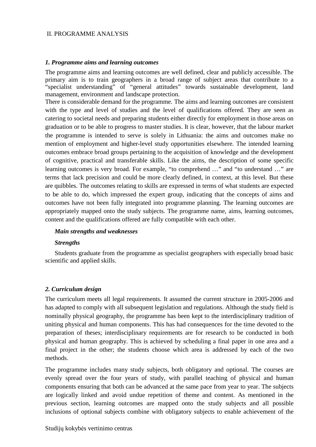#### II. PROGRAMME ANALYSIS

#### *1. Programme aims and learning outcomes*

The programme aims and learning outcomes are well defined, clear and publicly accessible. The primary aim is to train geographers in a broad range of subject areas that contribute to a "specialist understanding" of "general attitudes" towards sustainable development, land management, environment and landscape protection.

There is considerable demand for the programme. The aims and learning outcomes are consistent with the type and level of studies and the level of qualifications offered. They are seen as catering to societal needs and preparing students either directly for employment in those areas on graduation or to be able to progress to master studies. It is clear, however, that the labour market the programme is intended to serve is solely in Lithuania: the aims and outcomes make no mention of employment and higher-level study opportunities elsewhere. The intended learning outcomes embrace broad groups pertaining to the acquisition of knowledge and the development of cognitive, practical and transferable skills. Like the aims, the description of some specific learning outcomes is very broad. For example, "to comprehend …" and "to understand …" are terms that lack precision and could be more clearly defined, in context, at this level. But these are quibbles. The outcomes relating to skills are expressed in terms of what students are expected to be able to do, which impressed the expert group, indicating that the concepts of aims and outcomes have not been fully integrated into programme planning. The learning outcomes are appropriately mapped onto the study subjects. The programme name, aims, learning outcomes, content and the qualifications offered are fully compatible with each other.

#### *Main strengths and weaknesses*

#### *Strengths*

Students graduate from the programme as specialist geographers with especially broad basic scientific and applied skills.

#### *2. Curriculum design*

The curriculum meets all legal requirements. It assumed the current structure in 2005-2006 and has adapted to comply with all subsequent legislation and regulations. Although the study field is nominally physical geography, the programme has been kept to the interdisciplinary tradition of uniting physical and human components. This has had consequences for the time devoted to the preparation of theses; interdisciplinary requirements are for research to be conducted in both physical and human geography. This is achieved by scheduling a final paper in one area and a final project in the other; the students choose which area is addressed by each of the two methods.

The programme includes many study subjects, both obligatory and optional. The courses are evenly spread over the four years of study, with parallel teaching of physical and human components ensuring that both can be advanced at the same pace from year to year. The subjects are logically linked and avoid undue repetition of theme and content. As mentioned in the previous section, learning outcomes are mapped onto the study subjects and all possible inclusions of optional subjects combine with obligatory subjects to enable achievement of the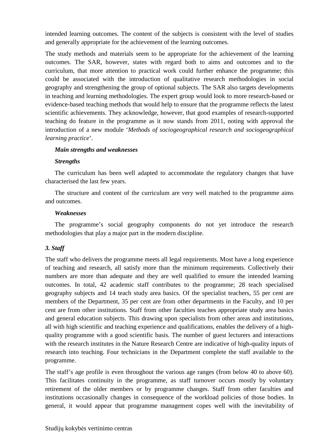intended learning outcomes. The content of the subjects is consistent with the level of studies and generally appropriate for the achievement of the learning outcomes.

The study methods and materials seem to be appropriate for the achievement of the learning outcomes. The SAR, however, states with regard both to aims and outcomes and to the curriculum, that more attention to practical work could further enhance the programme; this could be associated with the introduction of qualitative research methodologies in social geography and strengthening the group of optional subjects. The SAR also targets developments in teaching and learning methodologies. The expert group would look to more research-based or evidence-based teaching methods that would help to ensure that the programme reflects the latest scientific achievements. They acknowledge, however, that good examples of research-supported teaching do feature in the programme as it now stands from 2011, noting with approval the introduction of a new module '*Methods of sociogeographical research and sociogeographical learning practice*'.

#### *Main strengths and weaknesses*

#### *Strengths*

The curriculum has been well adapted to accommodate the regulatory changes that have characterised the last few years.

The structure and content of the curriculum are very well matched to the programme aims and outcomes.

#### *Weaknesses*

The programme's social geography components do not yet introduce the research methodologies that play a major part in the modern discipline.

#### *3. Staff*

The staff who delivers the programme meets all legal requirements. Most have a long experience of teaching and research, all satisfy more than the minimum requirements. Collectively their numbers are more than adequate and they are well qualified to ensure the intended learning outcomes. In total, 42 academic staff contributes to the programme; 28 teach specialised geography subjects and 14 teach study area basics. Of the specialist teachers, 55 per cent are members of the Department, 35 per cent are from other departments in the Faculty, and 10 per cent are from other institutions. Staff from other faculties teaches appropriate study area basics and general education subjects. This drawing upon specialists from other areas and institutions, all with high scientific and teaching experience and qualifications, enables the delivery of a highquality programme with a good scientific basis. The number of guest lecturers and interactions with the research institutes in the Nature Research Centre are indicative of high-quality inputs of research into teaching. Four technicians in the Department complete the staff available to the programme.

The staff's age profile is even throughout the various age ranges (from below 40 to above 60). This facilitates continuity in the programme, as staff turnover occurs mostly by voluntary retirement of the older members or by programme changes. Staff from other faculties and institutions occasionally changes in consequence of the workload policies of those bodies. In general, it would appear that programme management copes well with the inevitability of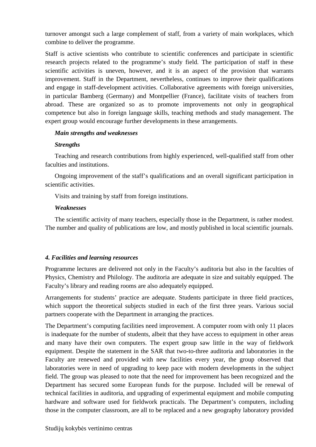turnover amongst such a large complement of staff, from a variety of main workplaces, which combine to deliver the programme.

Staff is active scientists who contribute to scientific conferences and participate in scientific research projects related to the programme's study field. The participation of staff in these scientific activities is uneven, however, and it is an aspect of the provision that warrants improvement. Staff in the Department, nevertheless, continues to improve their qualifications and engage in staff-development activities. Collaborative agreements with foreign universities, in particular Bamberg (Germany) and Montpellier (France), facilitate visits of teachers from abroad. These are organized so as to promote improvements not only in geographical competence but also in foreign language skills, teaching methods and study management. The expert group would encourage further developments in these arrangements.

#### *Main strengths and weaknesses*

#### *Strengths*

Teaching and research contributions from highly experienced, well-qualified staff from other faculties and institutions.

Ongoing improvement of the staff's qualifications and an overall significant participation in scientific activities.

Visits and training by staff from foreign institutions.

#### *Weaknesses*

The scientific activity of many teachers, especially those in the Department, is rather modest. The number and quality of publications are low, and mostly published in local scientific journals.

#### *4. Facilities and learning resources*

Programme lectures are delivered not only in the Faculty's auditoria but also in the faculties of Physics, Chemistry and Philology. The auditoria are adequate in size and suitably equipped. The Faculty's library and reading rooms are also adequately equipped.

Arrangements for students' practice are adequate. Students participate in three field practices, which support the theoretical subjects studied in each of the first three years. Various social partners cooperate with the Department in arranging the practices.

The Department's computing facilities need improvement. A computer room with only 11 places is inadequate for the number of students, albeit that they have access to equipment in other areas and many have their own computers. The expert group saw little in the way of fieldwork equipment. Despite the statement in the SAR that two-to-three auditoria and laboratories in the Faculty are renewed and provided with new facilities every year, the group observed that laboratories were in need of upgrading to keep pace with modern developments in the subject field. The group was pleased to note that the need for improvement has been recognized and the Department has secured some European funds for the purpose. Included will be renewal of technical facilities in auditoria, and upgrading of experimental equipment and mobile computing hardware and software used for fieldwork practicals. The Department's computers, including those in the computer classroom, are all to be replaced and a new geography laboratory provided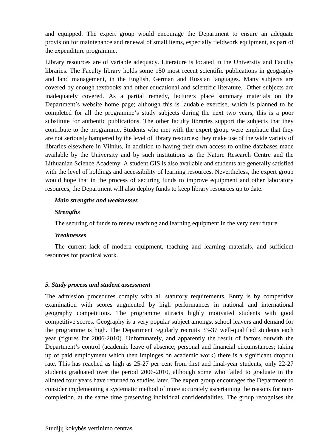and equipped. The expert group would encourage the Department to ensure an adequate provision for maintenance and renewal of small items, especially fieldwork equipment, as part of the expenditure programme.

Library resources are of variable adequacy. Literature is located in the University and Faculty libraries. The Faculty library holds some 150 most recent scientific publications in geography and land management, in the English, German and Russian languages. Many subjects are covered by enough textbooks and other educational and scientific literature. Other subjects are inadequately covered. As a partial remedy, lecturers place summary materials on the Department's website home page; although this is laudable exercise, which is planned to be completed for all the programme's study subjects during the next two years, this is a poor substitute for authentic publications. The other faculty libraries support the subjects that they contribute to the programme. Students who met with the expert group were emphatic that they are not seriously hampered by the level of library resources; they make use of the wide variety of libraries elsewhere in Vilnius, in addition to having their own access to online databases made available by the University and by such institutions as the Nature Research Centre and the Lithuanian Science Academy. A student GIS is also available and students are generally satisfied with the level of holdings and accessibility of learning resources. Nevertheless, the expert group would hope that in the process of securing funds to improve equipment and other laboratory resources, the Department will also deploy funds to keep library resources up to date.

#### *Main strengths and weaknesses*

#### *Strengths*

The securing of funds to renew teaching and learning equipment in the very near future.

#### *Weaknesses*

The current lack of modern equipment, teaching and learning materials, and sufficient resources for practical work.

#### *5. Study process and student assessment*

The admission procedures comply with all statutory requirements. Entry is by competitive examination with scores augmented by high performances in national and international geography competitions. The programme attracts highly motivated students with good competitive scores. Geography is a very popular subject amongst school leavers and demand for the programme is high. The Department regularly recruits 33-37 well-qualified students each year (figures for 2006-2010). Unfortunately, and apparently the result of factors outwith the Department's control (academic leave of absence; personal and financial circumstances; taking up of paid employment which then impinges on academic work) there is a significant dropout rate. This has reached as high as 25-27 per cent from first and final-year students; only 22-27 students graduated over the period 2006-2010, although some who failed to graduate in the allotted four years have returned to studies later. The expert group encourages the Department to consider implementing a systematic method of more accurately ascertaining the reasons for noncompletion, at the same time preserving individual confidentialities. The group recognises the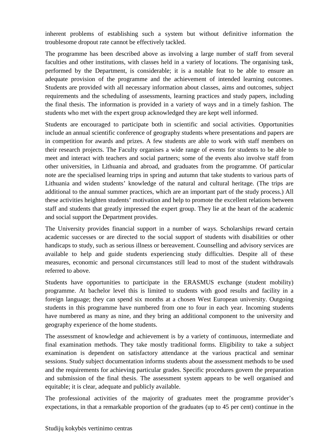inherent problems of establishing such a system but without definitive information the troublesome dropout rate cannot be effectively tackled.

The programme has been described above as involving a large number of staff from several faculties and other institutions, with classes held in a variety of locations. The organising task, performed by the Department, is considerable; it is a notable feat to be able to ensure an adequate provision of the programme and the achievement of intended learning outcomes. Students are provided with all necessary information about classes, aims and outcomes, subject requirements and the scheduling of assessments, learning practices and study papers, including the final thesis. The information is provided in a variety of ways and in a timely fashion. The students who met with the expert group acknowledged they are kept well informed.

Students are encouraged to participate both in scientific and social activities. Opportunities include an annual scientific conference of geography students where presentations and papers are in competition for awards and prizes. A few students are able to work with staff members on their research projects. The Faculty organises a wide range of events for students to be able to meet and interact with teachers and social partners; some of the events also involve staff from other universities, in Lithuania and abroad, and graduates from the programme. Of particular note are the specialised learning trips in spring and autumn that take students to various parts of Lithuania and widen students' knowledge of the natural and cultural heritage. (The trips are additional to the annual summer practices, which are an important part of the study process.) All these activities heighten students' motivation and help to promote the excellent relations between staff and students that greatly impressed the expert group. They lie at the heart of the academic and social support the Department provides.

The University provides financial support in a number of ways. Scholarships reward certain academic successes or are directed to the social support of students with disabilities or other handicaps to study, such as serious illness or bereavement. Counselling and advisory services are available to help and guide students experiencing study difficulties. Despite all of these measures, economic and personal circumstances still lead to most of the student withdrawals referred to above.

Students have opportunities to participate in the ERASMUS exchange (student mobility) programme. At bachelor level this is limited to students with good results and facility in a foreign language; they can spend six months at a chosen West European university. Outgoing students in this programme have numbered from one to four in each year. Incoming students have numbered as many as nine, and they bring an additional component to the university and geography experience of the home students.

The assessment of knowledge and achievement is by a variety of continuous, intermediate and final examination methods. They take mostly traditional forms. Eligibility to take a subject examination is dependent on satisfactory attendance at the various practical and seminar sessions. Study subject documentation informs students about the assessment methods to be used and the requirements for achieving particular grades. Specific procedures govern the preparation and submission of the final thesis. The assessment system appears to be well organised and equitable; it is clear, adequate and publicly available.

The professional activities of the majority of graduates meet the programme provider's expectations, in that a remarkable proportion of the graduates (up to 45 per cent) continue in the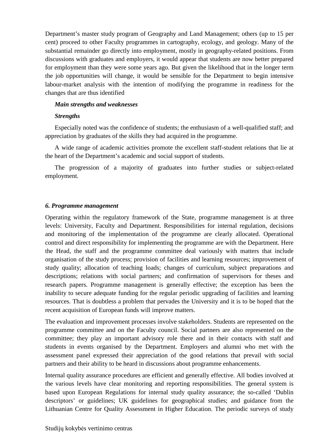Department's master study program of Geography and Land Management; others (up to 15 per cent) proceed to other Faculty programmes in cartography, ecology, and geology. Many of the substantial remainder go directly into employment, mostly in geography-related positions. From discussions with graduates and employers, it would appear that students are now better prepared for employment than they were some years ago. But given the likelihood that in the longer term the job opportunities will change, it would be sensible for the Department to begin intensive labour-market analysis with the intention of modifying the programme in readiness for the changes that are thus identified

#### *Main strengths and weaknesses*

#### *Strengths*

Especially noted was the confidence of students; the enthusiasm of a well-qualified staff; and appreciation by graduates of the skills they had acquired in the programme.

A wide range of academic activities promote the excellent staff-student relations that lie at the heart of the Department's academic and social support of students.

The progression of a majority of graduates into further studies or subject-related employment.

#### *6. Programme management*

Operating within the regulatory framework of the State, programme management is at three levels: University, Faculty and Department. Responsibilities for internal regulation, decisions and monitoring of the implementation of the programme are clearly allocated. Operational control and direct responsibility for implementing the programme are with the Department. Here the Head, the staff and the programme committee deal variously with matters that include organisation of the study process; provision of facilities and learning resources; improvement of study quality; allocation of teaching loads; changes of curriculum, subject preparations and descriptions; relations with social partners; and confirmation of supervisors for theses and research papers. Programme management is generally effective; the exception has been the inability to secure adequate funding for the regular periodic upgrading of facilities and learning resources. That is doubtless a problem that pervades the University and it is to be hoped that the recent acquisition of European funds will improve matters.

The evaluation and improvement processes involve stakeholders. Students are represented on the programme committee and on the Faculty council. Social partners are also represented on the committee; they play an important advisory role there and in their contacts with staff and students in events organised by the Department. Employers and alumni who met with the assessment panel expressed their appreciation of the good relations that prevail with social partners and their ability to be heard in discussions about programme enhancements.

Internal quality assurance procedures are efficient and generally effective. All bodies involved at the various levels have clear monitoring and reporting responsibilities. The general system is based upon European Regulations for internal study quality assurance; the so-called 'Dublin descriptors' or guidelines; UK guidelines for geographical studies; and guidance from the Lithuanian Centre for Quality Assessment in Higher Education. The periodic surveys of study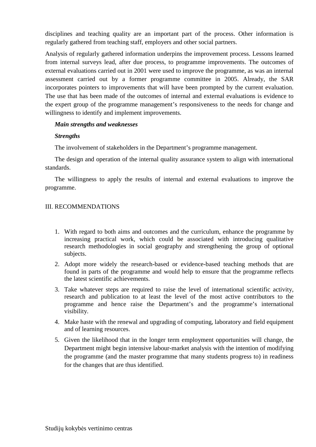disciplines and teaching quality are an important part of the process. Other information is regularly gathered from teaching staff, employers and other social partners.

Analysis of regularly gathered information underpins the improvement process. Lessons learned from internal surveys lead, after due process, to programme improvements. The outcomes of external evaluations carried out in 2001 were used to improve the programme, as was an internal assessment carried out by a former programme committee in 2005. Already, the SAR incorporates pointers to improvements that will have been prompted by the current evaluation. The use that has been made of the outcomes of internal and external evaluations is evidence to the expert group of the programme management's responsiveness to the needs for change and willingness to identify and implement improvements.

#### *Main strengths and weaknesses*

#### *Strengths*

The involvement of stakeholders in the Department's programme management.

The design and operation of the internal quality assurance system to align with international standards.

The willingness to apply the results of internal and external evaluations to improve the programme.

#### III. RECOMMENDATIONS

- 1. With regard to both aims and outcomes and the curriculum, enhance the programme by increasing practical work, which could be associated with introducing qualitative research methodologies in social geography and strengthening the group of optional subjects.
- 2. Adopt more widely the research-based or evidence-based teaching methods that are found in parts of the programme and would help to ensure that the programme reflects the latest scientific achievements.
- 3. Take whatever steps are required to raise the level of international scientific activity, research and publication to at least the level of the most active contributors to the programme and hence raise the Department's and the programme's international visibility.
- 4. Make haste with the renewal and upgrading of computing, laboratory and field equipment and of learning resources.
- 5. Given the likelihood that in the longer term employment opportunities will change, the Department might begin intensive labour-market analysis with the intention of modifying the programme (and the master programme that many students progress to) in readiness for the changes that are thus identified.